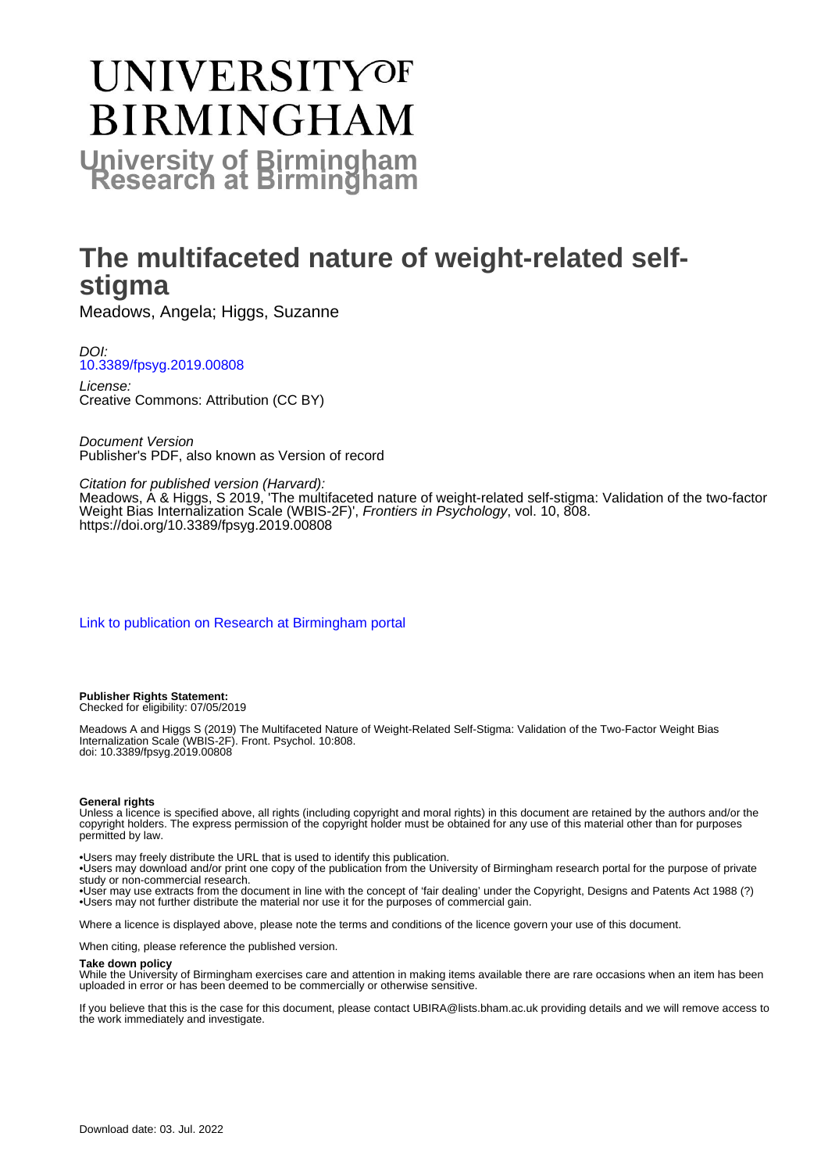# UNIVERSITYOF **BIRMINGHAM University of Birmingham**

# **The multifaceted nature of weight-related selfstigma**

Meadows, Angela; Higgs, Suzanne

DOI: [10.3389/fpsyg.2019.00808](https://doi.org/10.3389/fpsyg.2019.00808)

License: Creative Commons: Attribution (CC BY)

Document Version Publisher's PDF, also known as Version of record

#### Citation for published version (Harvard):

Meadows, A & Higgs, S 2019, 'The multifaceted nature of weight-related self-stigma: Validation of the two-factor Weight Bias Internalization Scale (WBIS-2F)', Frontiers in Psychology, vol. 10, 808. <https://doi.org/10.3389/fpsyg.2019.00808>

[Link to publication on Research at Birmingham portal](https://birmingham.elsevierpure.com/en/publications/bbfda963-3c6a-44fb-849a-db5789d9f89c)

#### **Publisher Rights Statement:**

Checked for eligibility: 07/05/2019

Meadows A and Higgs S (2019) The Multifaceted Nature of Weight-Related Self-Stigma: Validation of the Two-Factor Weight Bias Internalization Scale (WBIS-2F). Front. Psychol. 10:808. doi: 10.3389/fpsyg.2019.00808

#### **General rights**

Unless a licence is specified above, all rights (including copyright and moral rights) in this document are retained by the authors and/or the copyright holders. The express permission of the copyright holder must be obtained for any use of this material other than for purposes permitted by law.

• Users may freely distribute the URL that is used to identify this publication.

• Users may download and/or print one copy of the publication from the University of Birmingham research portal for the purpose of private study or non-commercial research.

• User may use extracts from the document in line with the concept of 'fair dealing' under the Copyright, Designs and Patents Act 1988 (?) • Users may not further distribute the material nor use it for the purposes of commercial gain.

Where a licence is displayed above, please note the terms and conditions of the licence govern your use of this document.

When citing, please reference the published version.

#### **Take down policy**

While the University of Birmingham exercises care and attention in making items available there are rare occasions when an item has been uploaded in error or has been deemed to be commercially or otherwise sensitive.

If you believe that this is the case for this document, please contact UBIRA@lists.bham.ac.uk providing details and we will remove access to the work immediately and investigate.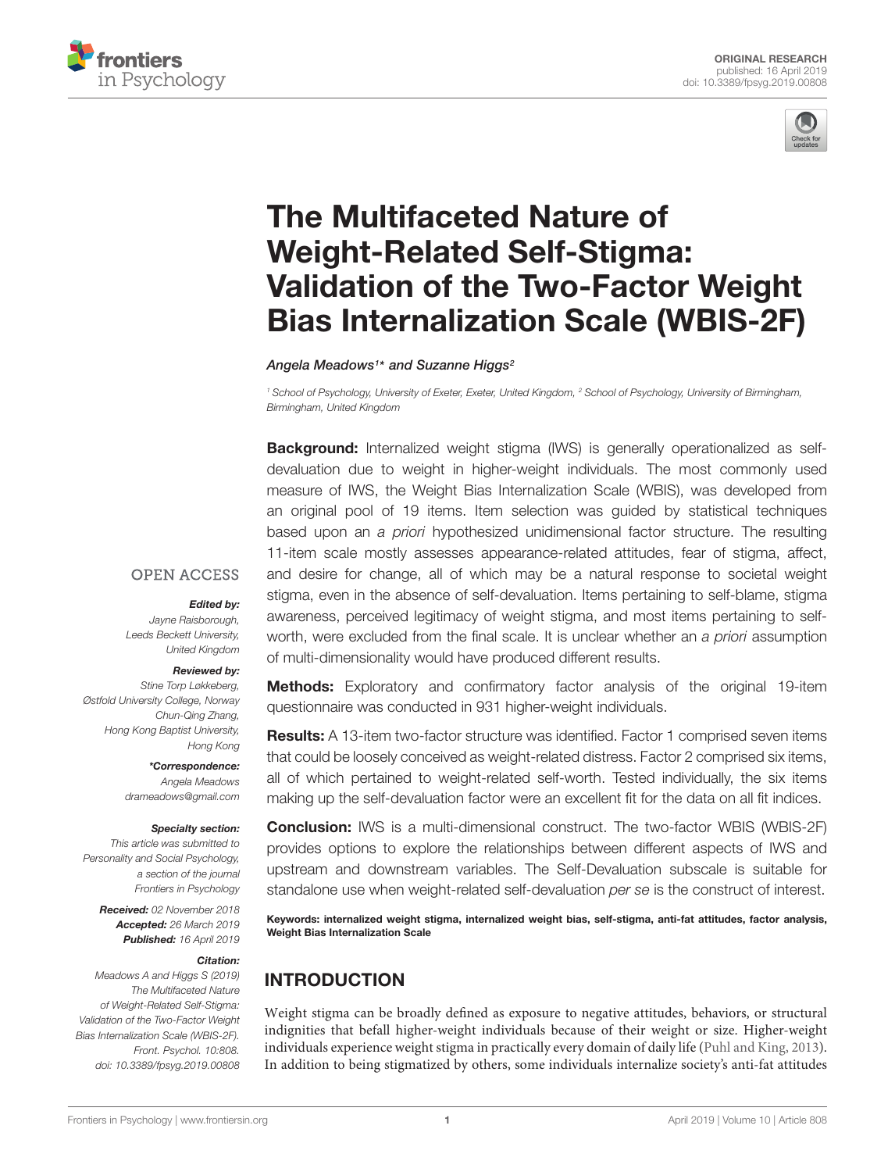



# The Multifaceted Nature of Weight-Related Self-Stigma: Validation of the Two-Factor Weight [Bias Internalization Scale \(WBIS-2F\)](https://www.frontiersin.org/articles/10.3389/fpsyg.2019.00808/full)

[Angela Meadows](http://loop.frontiersin.org/people/336952/overview)1\* and [Suzanne Higgs](http://loop.frontiersin.org/people/210254/overview)<sup>2</sup>

<sup>1</sup> School of Psychology, University of Exeter, Exeter, United Kingdom, <sup>2</sup> School of Psychology, University of Birmingham, Birmingham, United Kingdom

**Background:** Internalized weight stigma (IWS) is generally operationalized as selfdevaluation due to weight in higher-weight individuals. The most commonly used measure of IWS, the Weight Bias Internalization Scale (WBIS), was developed from an original pool of 19 items. Item selection was guided by statistical techniques based upon an a priori hypothesized unidimensional factor structure. The resulting 11-item scale mostly assesses appearance-related attitudes, fear of stigma, affect, and desire for change, all of which may be a natural response to societal weight stigma, even in the absence of self-devaluation. Items pertaining to self-blame, stigma awareness, perceived legitimacy of weight stigma, and most items pertaining to selfworth, were excluded from the final scale. It is unclear whether an a priori assumption of multi-dimensionality would have produced different results.

#### **OPEN ACCESS**

#### Edited by:

Jayne Raisborough, Leeds Beckett University, United Kingdom

#### Reviewed by:

Stine Torp Løkkeberg, Østfold University College, Norway Chun-Qing Zhang, Hong Kong Baptist University, Hong Kong

> \*Correspondence: Angela Meadows drameadows@gmail.com

#### Specialty section:

This article was submitted to Personality and Social Psychology, a section of the journal Frontiers in Psychology

> Received: 02 November 2018 Accepted: 26 March 2019 Published: 16 April 2019

#### Citation:

Meadows A and Higgs S (2019) The Multifaceted Nature of Weight-Related Self-Stigma: Validation of the Two-Factor Weight Bias Internalization Scale (WBIS-2F). Front. Psychol. 10:808. doi: [10.3389/fpsyg.2019.00808](https://doi.org/10.3389/fpsyg.2019.00808)

**Methods:** Exploratory and confirmatory factor analysis of the original 19-item questionnaire was conducted in 931 higher-weight individuals.

**Results:** A 13-item two-factor structure was identified. Factor 1 comprised seven items that could be loosely conceived as weight-related distress. Factor 2 comprised six items, all of which pertained to weight-related self-worth. Tested individually, the six items making up the self-devaluation factor were an excellent fit for the data on all fit indices.

Conclusion: IWS is a multi-dimensional construct. The two-factor WBIS (WBIS-2F) provides options to explore the relationships between different aspects of IWS and upstream and downstream variables. The Self-Devaluation subscale is suitable for standalone use when weight-related self-devaluation per se is the construct of interest.

Keywords: internalized weight stigma, internalized weight bias, self-stigma, anti-fat attitudes, factor analysis, Weight Bias Internalization Scale

# INTRODUCTION

Weight stigma can be broadly defined as exposure to negative attitudes, behaviors, or structural indignities that befall higher-weight individuals because of their weight or size. Higher-weight individuals experience weight stigma in practically every domain of daily life [\(Puhl and King,](#page-9-0) [2013\)](#page-9-0). In addition to being stigmatized by others, some individuals internalize society's anti-fat attitudes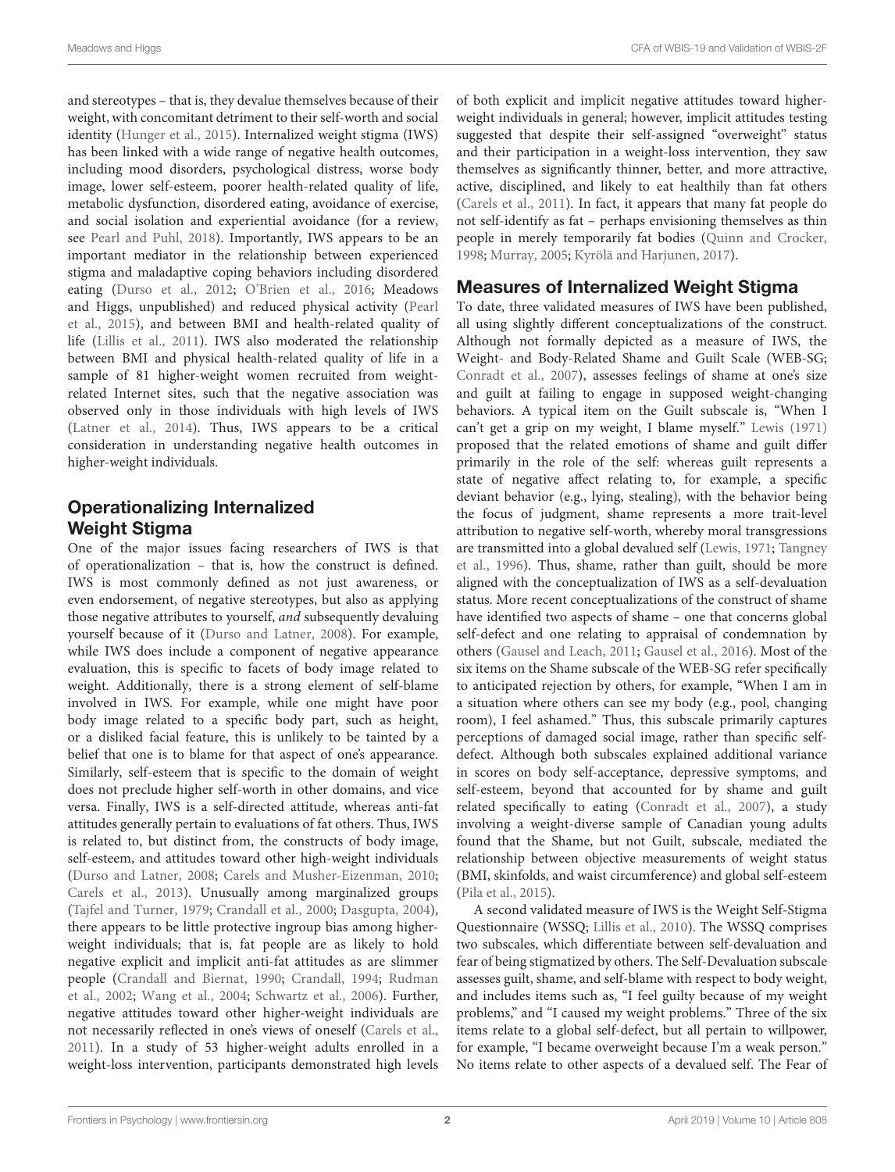and stereotypes – that is, they devalue themselves because of their weight, with concomitant detriment to their self-worth and social identity [\(Hunger et al.,](#page-9-1) [2015\)](#page-9-1). Internalized weight stigma (IWS) has been linked with a wide range of negative health outcomes, including mood disorders, psychological distress, worse body image, lower self-esteem, poorer health-related quality of life, metabolic dysfunction, disordered eating, avoidance of exercise, and social isolation and experiential avoidance (for a review, see [Pearl and Puhl,](#page-9-2) [2018\)](#page-9-2). Importantly, IWS appears to be an important mediator in the relationship between experienced stigma and maladaptive coping behaviors including disordered eating [\(Durso et al.,](#page-9-3) [2012;](#page-9-3) [O'Brien et al.,](#page-9-4) [2016;](#page-9-4) Meadows and Higgs, unpublished) and reduced physical activity [\(Pearl](#page-9-5) [et al.,](#page-9-5) [2015\)](#page-9-5), and between BMI and health-related quality of life [\(Lillis et al.,](#page-9-6) [2011\)](#page-9-6). IWS also moderated the relationship between BMI and physical health-related quality of life in a sample of 81 higher-weight women recruited from weightrelated Internet sites, such that the negative association was observed only in those individuals with high levels of IWS [\(Latner et al.,](#page-9-7) [2014\)](#page-9-7). Thus, IWS appears to be a critical consideration in understanding negative health outcomes in higher-weight individuals.

# Operationalizing Internalized Weight Stigma

One of the major issues facing researchers of IWS is that of operationalization – that is, how the construct is defined. IWS is most commonly defined as not just awareness, or even endorsement, of negative stereotypes, but also as applying those negative attributes to yourself, and subsequently devaluing yourself because of it [\(Durso and Latner,](#page-9-8) [2008\)](#page-9-8). For example, while IWS does include a component of negative appearance evaluation, this is specific to facets of body image related to weight. Additionally, there is a strong element of self-blame involved in IWS. For example, while one might have poor body image related to a specific body part, such as height, or a disliked facial feature, this is unlikely to be tainted by a belief that one is to blame for that aspect of one's appearance. Similarly, self-esteem that is specific to the domain of weight does not preclude higher self-worth in other domains, and vice versa. Finally, IWS is a self-directed attitude, whereas anti-fat attitudes generally pertain to evaluations of fat others. Thus, IWS is related to, but distinct from, the constructs of body image, self-esteem, and attitudes toward other high-weight individuals [\(Durso and Latner,](#page-9-8) [2008;](#page-9-8) [Carels and Musher-Eizenman,](#page-9-9) [2010;](#page-9-9) [Carels et al.,](#page-9-10) [2013\)](#page-9-10). Unusually among marginalized groups [\(Tajfel and Turner,](#page-10-0) [1979;](#page-10-0) [Crandall et al.,](#page-9-11) [2000;](#page-9-11) [Dasgupta,](#page-9-12) [2004\)](#page-9-12), there appears to be little protective ingroup bias among higherweight individuals; that is, fat people are as likely to hold negative explicit and implicit anti-fat attitudes as are slimmer people [\(Crandall and Biernat,](#page-9-13) [1990;](#page-9-13) [Crandall,](#page-9-14) [1994;](#page-9-14) [Rudman](#page-9-15) [et al.,](#page-9-15) [2002;](#page-9-15) [Wang et al.,](#page-10-1) [2004;](#page-10-1) [Schwartz et al.,](#page-10-2) [2006\)](#page-10-2). Further, negative attitudes toward other higher-weight individuals are not necessarily reflected in one's views of oneself [\(Carels et al.,](#page-9-16) [2011\)](#page-9-16). In a study of 53 higher-weight adults enrolled in a weight-loss intervention, participants demonstrated high levels of both explicit and implicit negative attitudes toward higherweight individuals in general; however, implicit attitudes testing suggested that despite their self-assigned "overweight" status and their participation in a weight-loss intervention, they saw themselves as significantly thinner, better, and more attractive, active, disciplined, and likely to eat healthily than fat others [\(Carels et al.,](#page-9-16) [2011\)](#page-9-16). In fact, it appears that many fat people do not self-identify as fat – perhaps envisioning themselves as thin people in merely temporarily fat bodies [\(Quinn and Crocker,](#page-9-17) [1998;](#page-9-17) [Murray,](#page-9-18) [2005;](#page-9-18) [Kyrölä and Harjunen,](#page-9-19) [2017\)](#page-9-19).

#### Measures of Internalized Weight Stigma

To date, three validated measures of IWS have been published, all using slightly different conceptualizations of the construct. Although not formally depicted as a measure of IWS, the Weight- and Body-Related Shame and Guilt Scale (WEB-SG; [Conradt et al.,](#page-9-20) [2007\)](#page-9-20), assesses feelings of shame at one's size and guilt at failing to engage in supposed weight-changing behaviors. A typical item on the Guilt subscale is, "When I can't get a grip on my weight, I blame myself." [Lewis](#page-9-21) [\(1971\)](#page-9-21) proposed that the related emotions of shame and guilt differ primarily in the role of the self: whereas guilt represents a state of negative affect relating to, for example, a specific deviant behavior (e.g., lying, stealing), with the behavior being the focus of judgment, shame represents a more trait-level attribution to negative self-worth, whereby moral transgressions are transmitted into a global devalued self [\(Lewis,](#page-9-21) [1971;](#page-9-21) [Tangney](#page-10-3) [et al.,](#page-10-3) [1996\)](#page-10-3). Thus, shame, rather than guilt, should be more aligned with the conceptualization of IWS as a self-devaluation status. More recent conceptualizations of the construct of shame have identified two aspects of shame – one that concerns global self-defect and one relating to appraisal of condemnation by others [\(Gausel and Leach,](#page-9-22) [2011;](#page-9-22) [Gausel et al.,](#page-9-23) [2016\)](#page-9-23). Most of the six items on the Shame subscale of the WEB-SG refer specifically to anticipated rejection by others, for example, "When I am in a situation where others can see my body (e.g., pool, changing room), I feel ashamed." Thus, this subscale primarily captures perceptions of damaged social image, rather than specific selfdefect. Although both subscales explained additional variance in scores on body self-acceptance, depressive symptoms, and self-esteem, beyond that accounted for by shame and guilt related specifically to eating [\(Conradt et al.,](#page-9-20) [2007\)](#page-9-20), a study involving a weight-diverse sample of Canadian young adults found that the Shame, but not Guilt, subscale, mediated the relationship between objective measurements of weight status (BMI, skinfolds, and waist circumference) and global self-esteem [\(Pila et al.,](#page-9-24) [2015\)](#page-9-24).

A second validated measure of IWS is the Weight Self-Stigma Questionnaire (WSSQ; [Lillis et al.,](#page-9-25) [2010\)](#page-9-25). The WSSQ comprises two subscales, which differentiate between self-devaluation and fear of being stigmatized by others. The Self-Devaluation subscale assesses guilt, shame, and self-blame with respect to body weight, and includes items such as, "I feel guilty because of my weight problems," and "I caused my weight problems." Three of the six items relate to a global self-defect, but all pertain to willpower, for example, "I became overweight because I'm a weak person." No items relate to other aspects of a devalued self. The Fear of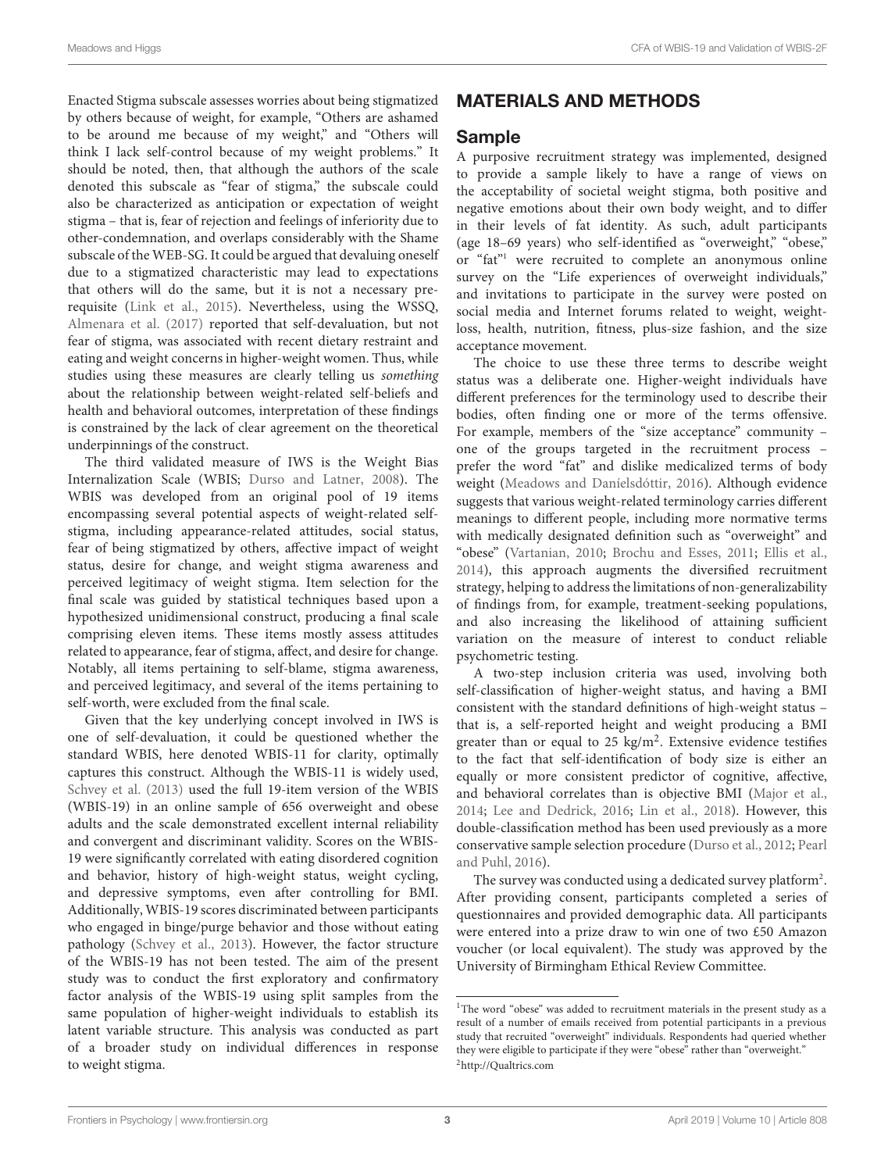Enacted Stigma subscale assesses worries about being stigmatized by others because of weight, for example, "Others are ashamed to be around me because of my weight," and "Others will think I lack self-control because of my weight problems." It should be noted, then, that although the authors of the scale denoted this subscale as "fear of stigma," the subscale could also be characterized as anticipation or expectation of weight stigma – that is, fear of rejection and feelings of inferiority due to other-condemnation, and overlaps considerably with the Shame subscale of the WEB-SG. It could be argued that devaluing oneself due to a stigmatized characteristic may lead to expectations that others will do the same, but it is not a necessary prerequisite [\(Link et al.,](#page-9-26) [2015\)](#page-9-26). Nevertheless, using the WSSQ, [Almenara et al.](#page-8-0) [\(2017\)](#page-8-0) reported that self-devaluation, but not fear of stigma, was associated with recent dietary restraint and eating and weight concerns in higher-weight women. Thus, while studies using these measures are clearly telling us something about the relationship between weight-related self-beliefs and health and behavioral outcomes, interpretation of these findings is constrained by the lack of clear agreement on the theoretical underpinnings of the construct.

The third validated measure of IWS is the Weight Bias Internalization Scale (WBIS; [Durso and Latner,](#page-9-8) [2008\)](#page-9-8). The WBIS was developed from an original pool of 19 items encompassing several potential aspects of weight-related selfstigma, including appearance-related attitudes, social status, fear of being stigmatized by others, affective impact of weight status, desire for change, and weight stigma awareness and perceived legitimacy of weight stigma. Item selection for the final scale was guided by statistical techniques based upon a hypothesized unidimensional construct, producing a final scale comprising eleven items. These items mostly assess attitudes related to appearance, fear of stigma, affect, and desire for change. Notably, all items pertaining to self-blame, stigma awareness, and perceived legitimacy, and several of the items pertaining to self-worth, were excluded from the final scale.

Given that the key underlying concept involved in IWS is one of self-devaluation, it could be questioned whether the standard WBIS, here denoted WBIS-11 for clarity, optimally captures this construct. Although the WBIS-11 is widely used, [Schvey et al.](#page-9-27) [\(2013\)](#page-9-27) used the full 19-item version of the WBIS (WBIS-19) in an online sample of 656 overweight and obese adults and the scale demonstrated excellent internal reliability and convergent and discriminant validity. Scores on the WBIS-19 were significantly correlated with eating disordered cognition and behavior, history of high-weight status, weight cycling, and depressive symptoms, even after controlling for BMI. Additionally, WBIS-19 scores discriminated between participants who engaged in binge/purge behavior and those without eating pathology [\(Schvey et al.,](#page-9-27) [2013\)](#page-9-27). However, the factor structure of the WBIS-19 has not been tested. The aim of the present study was to conduct the first exploratory and confirmatory factor analysis of the WBIS-19 using split samples from the same population of higher-weight individuals to establish its latent variable structure. This analysis was conducted as part of a broader study on individual differences in response to weight stigma.

#### MATERIALS AND METHODS

#### Sample

A purposive recruitment strategy was implemented, designed to provide a sample likely to have a range of views on the acceptability of societal weight stigma, both positive and negative emotions about their own body weight, and to differ in their levels of fat identity. As such, adult participants (age 18-69 years) who self-identified as "overweight," "obese," or "fat"[1](#page-3-0) were recruited to complete an anonymous online survey on the "Life experiences of overweight individuals," and invitations to participate in the survey were posted on social media and Internet forums related to weight, weightloss, health, nutrition, fitness, plus-size fashion, and the size acceptance movement.

The choice to use these three terms to describe weight status was a deliberate one. Higher-weight individuals have different preferences for the terminology used to describe their bodies, often finding one or more of the terms offensive. For example, members of the "size acceptance" community – one of the groups targeted in the recruitment process – prefer the word "fat" and dislike medicalized terms of body weight [\(Meadows and Daníelsdóttir,](#page-9-28) [2016\)](#page-9-28). Although evidence suggests that various weight-related terminology carries different meanings to different people, including more normative terms with medically designated definition such as "overweight" and "obese" [\(Vartanian,](#page-10-4) [2010;](#page-10-4) [Brochu and Esses,](#page-8-1) [2011;](#page-8-1) [Ellis et al.,](#page-9-29) [2014\)](#page-9-29), this approach augments the diversified recruitment strategy, helping to address the limitations of non-generalizability of findings from, for example, treatment-seeking populations, and also increasing the likelihood of attaining sufficient variation on the measure of interest to conduct reliable psychometric testing.

A two-step inclusion criteria was used, involving both self-classification of higher-weight status, and having a BMI consistent with the standard definitions of high-weight status – that is, a self-reported height and weight producing a BMI greater than or equal to 25  $\text{kg/m}^2$ . Extensive evidence testifies to the fact that self-identification of body size is either an equally or more consistent predictor of cognitive, affective, and behavioral correlates than is objective BMI [\(Major et al.,](#page-9-30) [2014;](#page-9-30) [Lee and Dedrick,](#page-9-31) [2016;](#page-9-31) [Lin et al.,](#page-9-32) [2018\)](#page-9-32). However, this double-classification method has been used previously as a more conservative sample selection procedure [\(Durso et al.,](#page-9-3) [2012;](#page-9-3) [Pearl](#page-9-33) [and Puhl,](#page-9-33) [2016\)](#page-9-33).

The survey was conducted using a dedicated survey platform<sup>[2](#page-3-1)</sup>. After providing consent, participants completed a series of questionnaires and provided demographic data. All participants were entered into a prize draw to win one of two £50 Amazon voucher (or local equivalent). The study was approved by the University of Birmingham Ethical Review Committee.

<span id="page-3-1"></span><span id="page-3-0"></span><sup>&</sup>lt;sup>1</sup>The word "obese" was added to recruitment materials in the present study as a result of a number of emails received from potential participants in a previous study that recruited "overweight" individuals. Respondents had queried whether they were eligible to participate if they were "obese" rather than "overweight." <sup>2</sup><http://Qualtrics.com>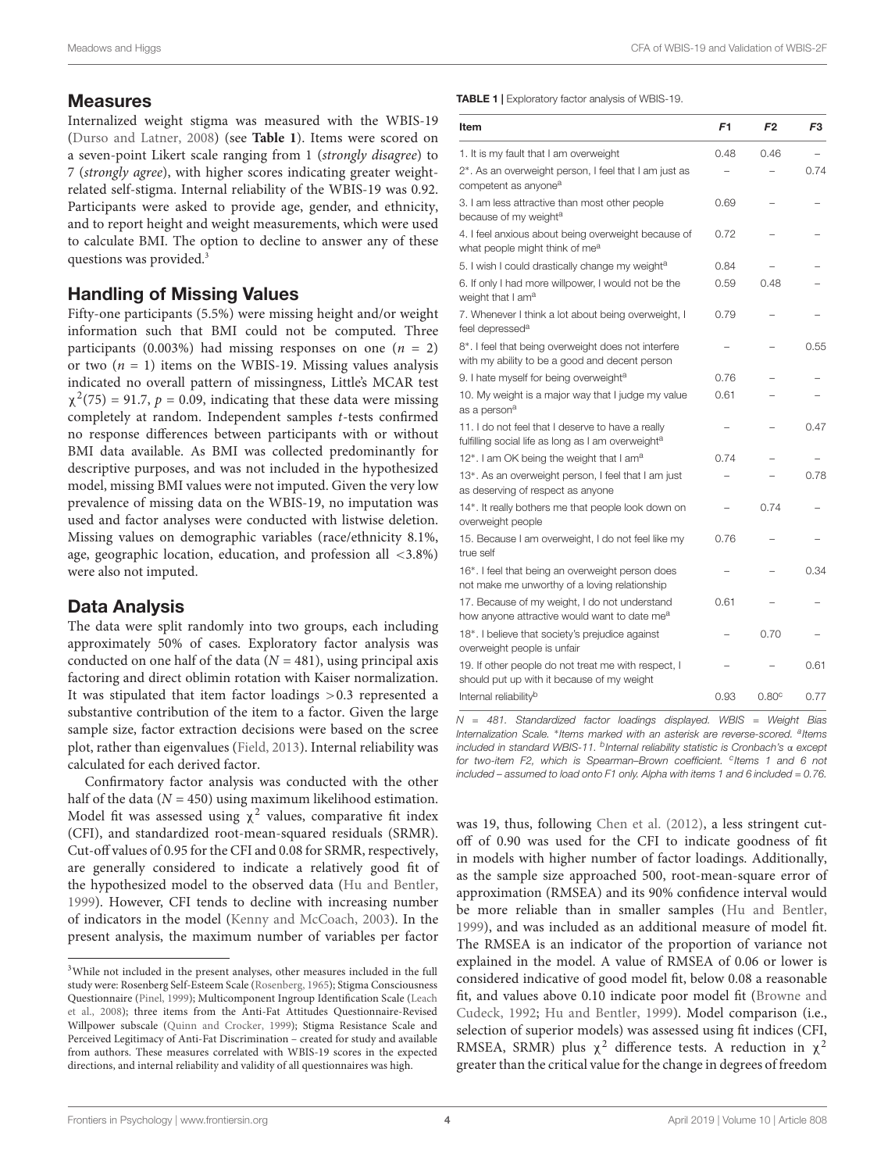#### Measures

Internalized weight stigma was measured with the WBIS-19 [\(Durso and Latner,](#page-9-8) [2008\)](#page-9-8) (see **[Table 1](#page-4-0)**). Items were scored on a seven-point Likert scale ranging from 1 (strongly disagree) to 7 (strongly agree), with higher scores indicating greater weightrelated self-stigma. Internal reliability of the WBIS-19 was 0.92. Participants were asked to provide age, gender, and ethnicity, and to report height and weight measurements, which were used to calculate BMI. The option to decline to answer any of these questions was provided.<sup>[3](#page-4-1)</sup>

# Handling of Missing Values

Fifty-one participants (5.5%) were missing height and/or weight information such that BMI could not be computed. Three participants (0.003%) had missing responses on one ( $n = 2$ ) or two  $(n = 1)$  items on the WBIS-19. Missing values analysis indicated no overall pattern of missingness, Little's MCAR test  $\chi^2(75) = 91.7$ ,  $p = 0.09$ , indicating that these data were missing completely at random. Independent samples t-tests confirmed no response differences between participants with or without BMI data available. As BMI was collected predominantly for descriptive purposes, and was not included in the hypothesized model, missing BMI values were not imputed. Given the very low prevalence of missing data on the WBIS-19, no imputation was used and factor analyses were conducted with listwise deletion. Missing values on demographic variables (race/ethnicity 8.1%, age, geographic location, education, and profession all <3.8%) were also not imputed.

# Data Analysis

The data were split randomly into two groups, each including approximately 50% of cases. Exploratory factor analysis was conducted on one half of the data  $(N = 481)$ , using principal axis factoring and direct oblimin rotation with Kaiser normalization. It was stipulated that item factor loadings >0.3 represented a substantive contribution of the item to a factor. Given the large sample size, factor extraction decisions were based on the scree plot, rather than eigenvalues [\(Field,](#page-9-34) [2013\)](#page-9-34). Internal reliability was calculated for each derived factor.

Confirmatory factor analysis was conducted with the other half of the data ( $N = 450$ ) using maximum likelihood estimation. Model fit was assessed using  $\chi^2$  values, comparative fit index (CFI), and standardized root-mean-squared residuals (SRMR). Cut-off values of 0.95 for the CFI and 0.08 for SRMR, respectively, are generally considered to indicate a relatively good fit of the hypothesized model to the observed data [\(Hu and Bentler,](#page-9-35) [1999\)](#page-9-35). However, CFI tends to decline with increasing number of indicators in the model [\(Kenny and McCoach,](#page-9-36) [2003\)](#page-9-36). In the present analysis, the maximum number of variables per factor

#### <span id="page-4-0"></span>TABLE 1 | Exploratory factor analysis of WBIS-19.

| Item                                                                                                                | F1   | F <sub>2</sub>    | F3   |
|---------------------------------------------------------------------------------------------------------------------|------|-------------------|------|
| 1. It is my fault that I am overweight                                                                              | 0.48 | 0.46              |      |
| 2*. As an overweight person, I feel that I am just as<br>competent as anyone <sup>a</sup>                           |      |                   | 0.74 |
| 3. I am less attractive than most other people<br>because of my weight <sup>a</sup>                                 | 0.69 |                   |      |
| 4. I feel anxious about being overweight because of<br>what people might think of me <sup>a</sup>                   | 0.72 |                   |      |
| 5. I wish I could drastically change my weight <sup>a</sup>                                                         | 0.84 |                   |      |
| 6. If only I had more willpower, I would not be the<br>weight that I am <sup>a</sup>                                | 0.59 | 0.48              |      |
| 7. Whenever I think a lot about being overweight, I<br>feel depressed <sup>a</sup>                                  | 0.79 |                   |      |
| 8*. I feel that being overweight does not interfere<br>with my ability to be a good and decent person               |      |                   | 0.55 |
| 9. I hate myself for being overweight <sup>a</sup>                                                                  | 0.76 |                   |      |
| 10. My weight is a major way that I judge my value<br>as a person <sup>a</sup>                                      | 0.61 |                   |      |
| 11. I do not feel that I deserve to have a really<br>fulfilling social life as long as I am overweight <sup>a</sup> |      |                   | 0.47 |
| 12 <sup>*</sup> . I am OK being the weight that I am <sup>a</sup>                                                   | 0.74 |                   |      |
| 13*. As an overweight person, I feel that I am just<br>as deserving of respect as anyone                            |      |                   | 0.78 |
| 14*. It really bothers me that people look down on<br>overweight people                                             |      | 0.74              |      |
| 15. Because I am overweight, I do not feel like my<br>true self                                                     | 0.76 |                   |      |
| 16*. I feel that being an overweight person does<br>not make me unworthy of a loving relationship                   |      |                   | 0.34 |
| 17. Because of my weight, I do not understand<br>how anyone attractive would want to date mea                       | 0.61 |                   |      |
| 18*. I believe that society's prejudice against<br>overweight people is unfair                                      |      | 0.70              |      |
| 19. If other people do not treat me with respect, I<br>should put up with it because of my weight                   |      |                   | 0.61 |
| Internal reliabilityb                                                                                               | 0.93 | 0.80 <sup>c</sup> | 0.77 |

 $N = 481$ . Standardized factor loadings displayed. WBIS = Weight Bias Internalization Scale. \*Items marked with an asterisk are reverse-scored. <sup>a</sup>ltems included in standard WBIS-11. <sup>b</sup>Internal reliability statistic is Cronbach's α except for two-item F2, which is Spearman-Brown coefficient. <sup>c</sup>Items 1 and 6 not included – assumed to load onto F1 only. Alpha with items 1 and 6 included = 0.76.

was 19, thus, following [Chen et al.](#page-9-41) [\(2012\)](#page-9-41), a less stringent cutoff of 0.90 was used for the CFI to indicate goodness of fit in models with higher number of factor loadings. Additionally, as the sample size approached 500, root-mean-square error of approximation (RMSEA) and its 90% confidence interval would be more reliable than in smaller samples [\(Hu and Bentler,](#page-9-35) [1999\)](#page-9-35), and was included as an additional measure of model fit. The RMSEA is an indicator of the proportion of variance not explained in the model. A value of RMSEA of 0.06 or lower is considered indicative of good model fit, below 0.08 a reasonable fit, and values above 0.10 indicate poor model fit [\(Browne and](#page-8-2) [Cudeck,](#page-8-2) [1992;](#page-8-2) [Hu and Bentler,](#page-9-35) [1999\)](#page-9-35). Model comparison (i.e., selection of superior models) was assessed using fit indices (CFI, RMSEA, SRMR) plus  $\chi^2$  difference tests. A reduction in  $\chi^2$ greater than the critical value for the change in degrees of freedom

<span id="page-4-1"></span><sup>3</sup>While not included in the present analyses, other measures included in the full study were: Rosenberg Self-Esteem Scale [\(Rosenberg,](#page-9-37) [1965\)](#page-9-37); Stigma Consciousness Questionnaire [\(Pinel,](#page-9-38) [1999\)](#page-9-38); Multicomponent Ingroup Identification Scale [\(Leach](#page-9-39) [et al.,](#page-9-39) [2008\)](#page-9-39); three items from the Anti-Fat Attitudes Questionnaire-Revised Willpower subscale [\(Quinn and Crocker,](#page-9-40) [1999\)](#page-9-40); Stigma Resistance Scale and Perceived Legitimacy of Anti-Fat Discrimination – created for study and available from authors. These measures correlated with WBIS-19 scores in the expected directions, and internal reliability and validity of all questionnaires was high.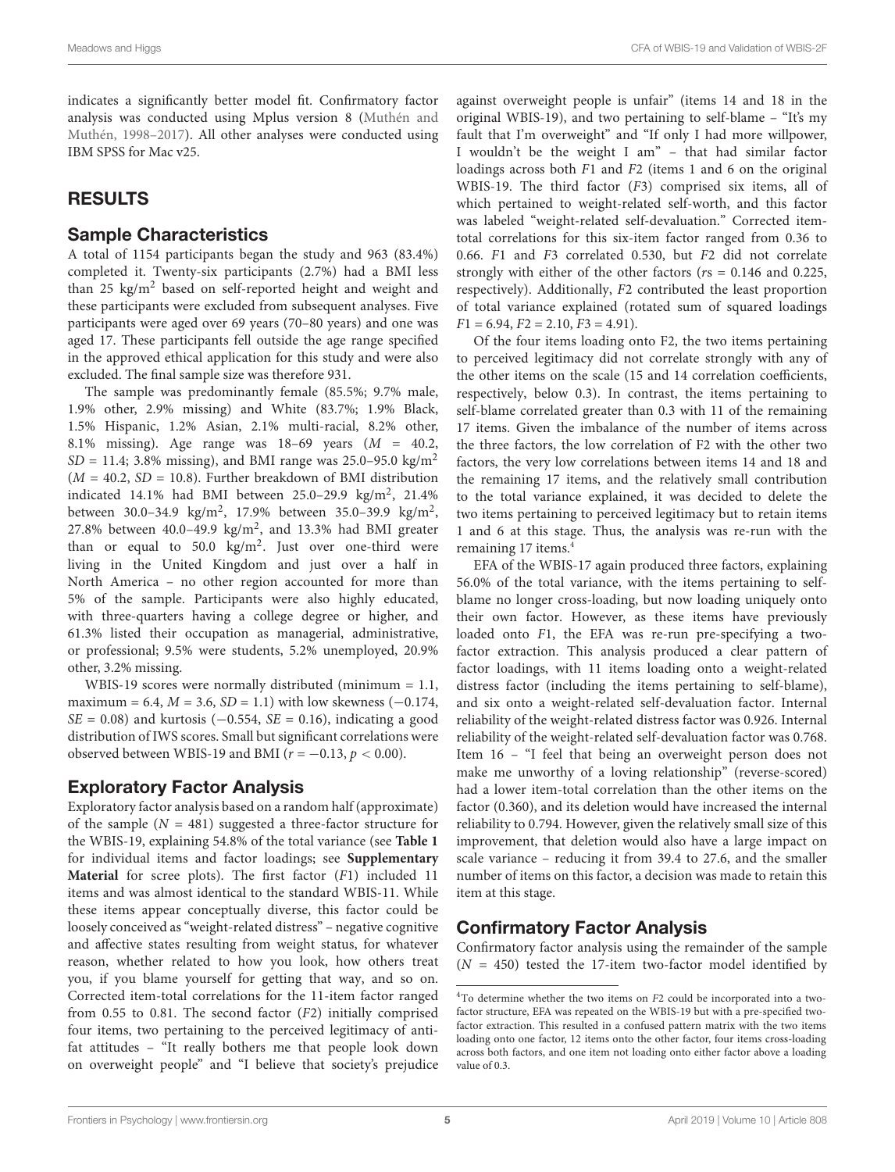indicates a significantly better model fit. Confirmatory factor analysis was conducted using Mplus version 8 [\(Muthén and](#page-9-42) [Muthén,](#page-9-42) [1998–2017\)](#page-9-42). All other analyses were conducted using IBM SPSS for Mac v25.

#### RESULTS

#### Sample Characteristics

A total of 1154 participants began the study and 963 (83.4%) completed it. Twenty-six participants (2.7%) had a BMI less than 25 kg/m<sup>2</sup> based on self-reported height and weight and these participants were excluded from subsequent analyses. Five participants were aged over 69 years (70–80 years) and one was aged 17. These participants fell outside the age range specified in the approved ethical application for this study and were also excluded. The final sample size was therefore 931.

The sample was predominantly female (85.5%; 9.7% male, 1.9% other, 2.9% missing) and White (83.7%; 1.9% Black, 1.5% Hispanic, 1.2% Asian, 2.1% multi-racial, 8.2% other, 8.1% missing). Age range was  $18-69$  years  $(M = 40.2,$  $SD = 11.4$ ; 3.8% missing), and BMI range was 25.0–95.0 kg/m<sup>2</sup>  $(M = 40.2, SD = 10.8)$ . Further breakdown of BMI distribution indicated 14.1% had BMI between 25.0-29.9 kg/m<sup>2</sup>, 21.4% between 30.0–34.9 kg/m<sup>2</sup>, 17.9% between 35.0–39.9 kg/m<sup>2</sup>, 27.8% between  $40.0-49.9$  kg/m<sup>2</sup>, and 13.3% had BMI greater than or equal to  $50.0 \text{ kg/m}^2$ . Just over one-third were living in the United Kingdom and just over a half in North America – no other region accounted for more than 5% of the sample. Participants were also highly educated, with three-quarters having a college degree or higher, and 61.3% listed their occupation as managerial, administrative, or professional; 9.5% were students, 5.2% unemployed, 20.9% other, 3.2% missing.

WBIS-19 scores were normally distributed (minimum = 1.1, maximum = 6.4,  $M = 3.6$ ,  $SD = 1.1$ ) with low skewness (-0.174,  $SE = 0.08$ ) and kurtosis ( $-0.554$ ,  $SE = 0.16$ ), indicating a good distribution of IWS scores. Small but significant correlations were observed between WBIS-19 and BMI ( $r = -0.13$ ,  $p < 0.00$ ).

#### Exploratory Factor Analysis

Exploratory factor analysis based on a random half (approximate) of the sample  $(N = 481)$  suggested a three-factor structure for the WBIS-19, explaining 54.8% of the total variance (see **[Table 1](#page-4-0)** for individual items and factor loadings; see **[Supplementary](#page-8-3) [Material](#page-8-3)** for scree plots). The first factor (F1) included 11 items and was almost identical to the standard WBIS-11. While these items appear conceptually diverse, this factor could be loosely conceived as "weight-related distress" – negative cognitive and affective states resulting from weight status, for whatever reason, whether related to how you look, how others treat you, if you blame yourself for getting that way, and so on. Corrected item-total correlations for the 11-item factor ranged from 0.55 to 0.81. The second factor  $(F2)$  initially comprised four items, two pertaining to the perceived legitimacy of antifat attitudes – "It really bothers me that people look down on overweight people" and "I believe that society's prejudice against overweight people is unfair" (items 14 and 18 in the original WBIS-19), and two pertaining to self-blame – "It's my fault that I'm overweight" and "If only I had more willpower, I wouldn't be the weight I am" – that had similar factor loadings across both F1 and F2 (items 1 and 6 on the original WBIS-19. The third factor (F3) comprised six items, all of which pertained to weight-related self-worth, and this factor was labeled "weight-related self-devaluation." Corrected itemtotal correlations for this six-item factor ranged from 0.36 to 0.66. F1 and F3 correlated 0.530, but F2 did not correlate strongly with either of the other factors ( $rs = 0.146$  and 0.225, respectively). Additionally, F2 contributed the least proportion of total variance explained (rotated sum of squared loadings  $F1 = 6.94, F2 = 2.10, F3 = 4.91$ .

Of the four items loading onto F2, the two items pertaining to perceived legitimacy did not correlate strongly with any of the other items on the scale (15 and 14 correlation coefficients, respectively, below 0.3). In contrast, the items pertaining to self-blame correlated greater than 0.3 with 11 of the remaining 17 items. Given the imbalance of the number of items across the three factors, the low correlation of F2 with the other two factors, the very low correlations between items 14 and 18 and the remaining 17 items, and the relatively small contribution to the total variance explained, it was decided to delete the two items pertaining to perceived legitimacy but to retain items 1 and 6 at this stage. Thus, the analysis was re-run with the remaining 17 items.<sup>[4](#page-5-0)</sup>

EFA of the WBIS-17 again produced three factors, explaining 56.0% of the total variance, with the items pertaining to selfblame no longer cross-loading, but now loading uniquely onto their own factor. However, as these items have previously loaded onto F1, the EFA was re-run pre-specifying a twofactor extraction. This analysis produced a clear pattern of factor loadings, with 11 items loading onto a weight-related distress factor (including the items pertaining to self-blame), and six onto a weight-related self-devaluation factor. Internal reliability of the weight-related distress factor was 0.926. Internal reliability of the weight-related self-devaluation factor was 0.768. Item 16 – "I feel that being an overweight person does not make me unworthy of a loving relationship" (reverse-scored) had a lower item-total correlation than the other items on the factor (0.360), and its deletion would have increased the internal reliability to 0.794. However, given the relatively small size of this improvement, that deletion would also have a large impact on scale variance – reducing it from 39.4 to 27.6, and the smaller number of items on this factor, a decision was made to retain this item at this stage.

# Confirmatory Factor Analysis

Confirmatory factor analysis using the remainder of the sample  $(N = 450)$  tested the 17-item two-factor model identified by

<span id="page-5-0"></span><sup>&</sup>lt;sup>4</sup>To determine whether the two items on F2 could be incorporated into a twofactor structure, EFA was repeated on the WBIS-19 but with a pre-specified twofactor extraction. This resulted in a confused pattern matrix with the two items loading onto one factor, 12 items onto the other factor, four items cross-loading across both factors, and one item not loading onto either factor above a loading value of 0.3.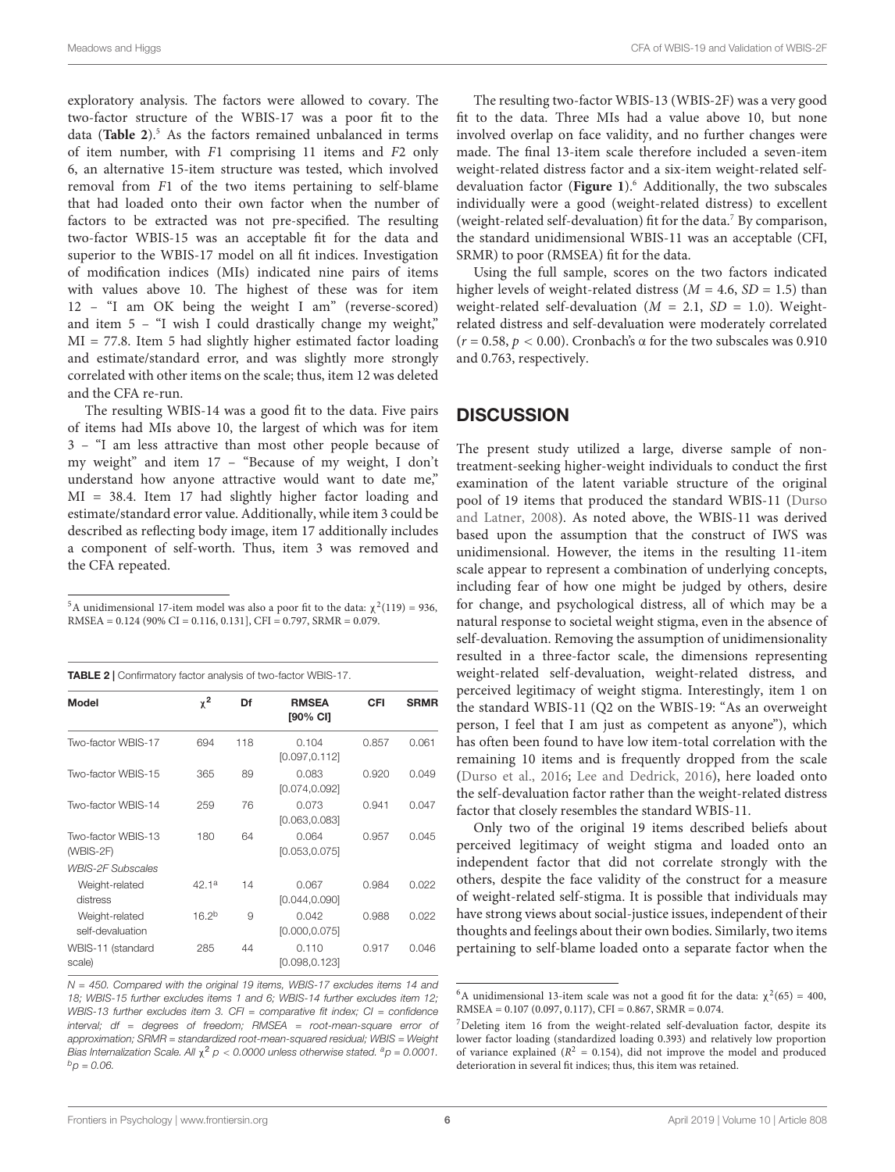exploratory analysis. The factors were allowed to covary. The two-factor structure of the WBIS-17 was a poor fit to the data ([Table 2](#page-6-0)).<sup>[5](#page-6-1)</sup> As the factors remained unbalanced in terms of item number, with F1 comprising 11 items and F2 only 6, an alternative 15-item structure was tested, which involved removal from F1 of the two items pertaining to self-blame that had loaded onto their own factor when the number of factors to be extracted was not pre-specified. The resulting two-factor WBIS-15 was an acceptable fit for the data and superior to the WBIS-17 model on all fit indices. Investigation of modification indices (MIs) indicated nine pairs of items with values above 10. The highest of these was for item 12 – "I am OK being the weight I am" (reverse-scored) and item 5 – "I wish I could drastically change my weight," MI = 77.8. Item 5 had slightly higher estimated factor loading and estimate/standard error, and was slightly more strongly correlated with other items on the scale; thus, item 12 was deleted and the CFA re-run.

The resulting WBIS-14 was a good fit to the data. Five pairs of items had MIs above 10, the largest of which was for item 3 – "I am less attractive than most other people because of my weight" and item 17 – "Because of my weight, I don't understand how anyone attractive would want to date me," MI = 38.4. Item 17 had slightly higher factor loading and estimate/standard error value. Additionally, while item 3 could be described as reflecting body image, item 17 additionally includes a component of self-worth. Thus, item 3 was removed and the CFA repeated.

<span id="page-6-1"></span><sup>&</sup>lt;sup>5</sup>A unidimensional 17-item model was also a poor fit to the data:  $\chi^2(119) = 936$ , RMSEA = 0.124 (90% CI = 0.116, 0.131], CFI = 0.797, SRMR = 0.079.

<span id="page-6-0"></span>

| TABLE 2   Confirmatory factor analysis of two-factor WBIS-17. |  |  |
|---------------------------------------------------------------|--|--|
|                                                               |  |  |

| Model                                                       | $x^2$             | Df  | <b>RMSEA</b><br>$[90\%$ CI] | <b>CFI</b> | <b>SRMR</b> |
|-------------------------------------------------------------|-------------------|-----|-----------------------------|------------|-------------|
| Two-factor WBIS-17                                          | 694               | 118 | 0.104<br>[0.097, 0.112]     | 0.857      | 0.061       |
| Two-factor WBIS-15                                          | 365               | 89  | 0.083<br>[0.074, 0.092]     | 0.920      | 0.049       |
| Two-factor WBIS-14                                          | 259               | 76  | 0.073<br>[0.063, 0.083]     | O 941      | 0.047       |
| Two-factor WBIS-13<br>(WBIS-2F)<br><b>WBIS-2F Subscales</b> | 180               | 64  | 0.064<br>[0.053, 0.075]     | 0.957      | 0.045       |
| Weight-related<br>distress                                  | 42.1 <sup>a</sup> | 14  | 0.067<br>[0.044,0.090]      | 0.984      | 0.022       |
| Weight-related<br>self-devaluation                          | 162 <sup>b</sup>  | 9   | 0.042<br>[0.000, 0.075]     | 0.988      | 0.022       |
| WBIS-11 (standard<br>scale)                                 | 285               | 44  | 0.110<br>[0.098, 0.123]     | 0.917      | 0.046       |

 $N = 450$ . Compared with the original 19 items, WBIS-17 excludes items 14 and 18; WBIS-15 further excludes items 1 and 6; WBIS-14 further excludes item 12; WBIS-13 further excludes item 3. CFI = comparative fit index; CI = confidence interval; df = degrees of freedom; RMSEA = root-mean-square error of approximation; SRMR = standardized root-mean-squared residual; WBIS = Weight Bias Internalization Scale. All  $\chi^2$  p < 0.0000 unless otherwise stated.  ${}^a$ p = 0.0001.  $b_{D} = 0.06$ .

The resulting two-factor WBIS-13 (WBIS-2F) was a very good fit to the data. Three MIs had a value above 10, but none involved overlap on face validity, and no further changes were made. The final 13-item scale therefore included a seven-item weight-related distress factor and a six-item weight-related selfdevaluation factor (**[Figure 1](#page-7-0)**).[6](#page-6-2) Additionally, the two subscales individually were a good (weight-related distress) to excellent (weight-related self-devaluation) fit for the data.[7](#page-6-3) By comparison, the standard unidimensional WBIS-11 was an acceptable (CFI, SRMR) to poor (RMSEA) fit for the data.

Using the full sample, scores on the two factors indicated higher levels of weight-related distress ( $M = 4.6$ ,  $SD = 1.5$ ) than weight-related self-devaluation ( $M = 2.1$ ,  $SD = 1.0$ ). Weightrelated distress and self-devaluation were moderately correlated  $(r = 0.58, p < 0.00)$ . Cronbach's  $\alpha$  for the two subscales was 0.910 and 0.763, respectively.

#### **DISCUSSION**

The present study utilized a large, diverse sample of nontreatment-seeking higher-weight individuals to conduct the first examination of the latent variable structure of the original pool of 19 items that produced the standard WBIS-11 [\(Durso](#page-9-8) [and Latner,](#page-9-8) [2008\)](#page-9-8). As noted above, the WBIS-11 was derived based upon the assumption that the construct of IWS was unidimensional. However, the items in the resulting 11-item scale appear to represent a combination of underlying concepts, including fear of how one might be judged by others, desire for change, and psychological distress, all of which may be a natural response to societal weight stigma, even in the absence of self-devaluation. Removing the assumption of unidimensionality resulted in a three-factor scale, the dimensions representing weight-related self-devaluation, weight-related distress, and perceived legitimacy of weight stigma. Interestingly, item 1 on the standard WBIS-11 (Q2 on the WBIS-19: "As an overweight person, I feel that I am just as competent as anyone"), which has often been found to have low item-total correlation with the remaining 10 items and is frequently dropped from the scale [\(Durso et al.,](#page-9-43) [2016;](#page-9-43) [Lee and Dedrick,](#page-9-31) [2016\)](#page-9-31), here loaded onto the self-devaluation factor rather than the weight-related distress factor that closely resembles the standard WBIS-11.

Only two of the original 19 items described beliefs about perceived legitimacy of weight stigma and loaded onto an independent factor that did not correlate strongly with the others, despite the face validity of the construct for a measure of weight-related self-stigma. It is possible that individuals may have strong views about social-justice issues, independent of their thoughts and feelings about their own bodies. Similarly, two items pertaining to self-blame loaded onto a separate factor when the

<span id="page-6-2"></span><sup>&</sup>lt;sup>6</sup>A unidimensional 13-item scale was not a good fit for the data:  $\chi^2(65) = 400$ , RMSEA = 0.107 (0.097, 0.117), CFI = 0.867, SRMR = 0.074.

<span id="page-6-3"></span><sup>7</sup>Deleting item 16 from the weight-related self-devaluation factor, despite its lower factor loading (standardized loading 0.393) and relatively low proportion of variance explained ( $R^2 = 0.154$ ), did not improve the model and produced deterioration in several fit indices; thus, this item was retained.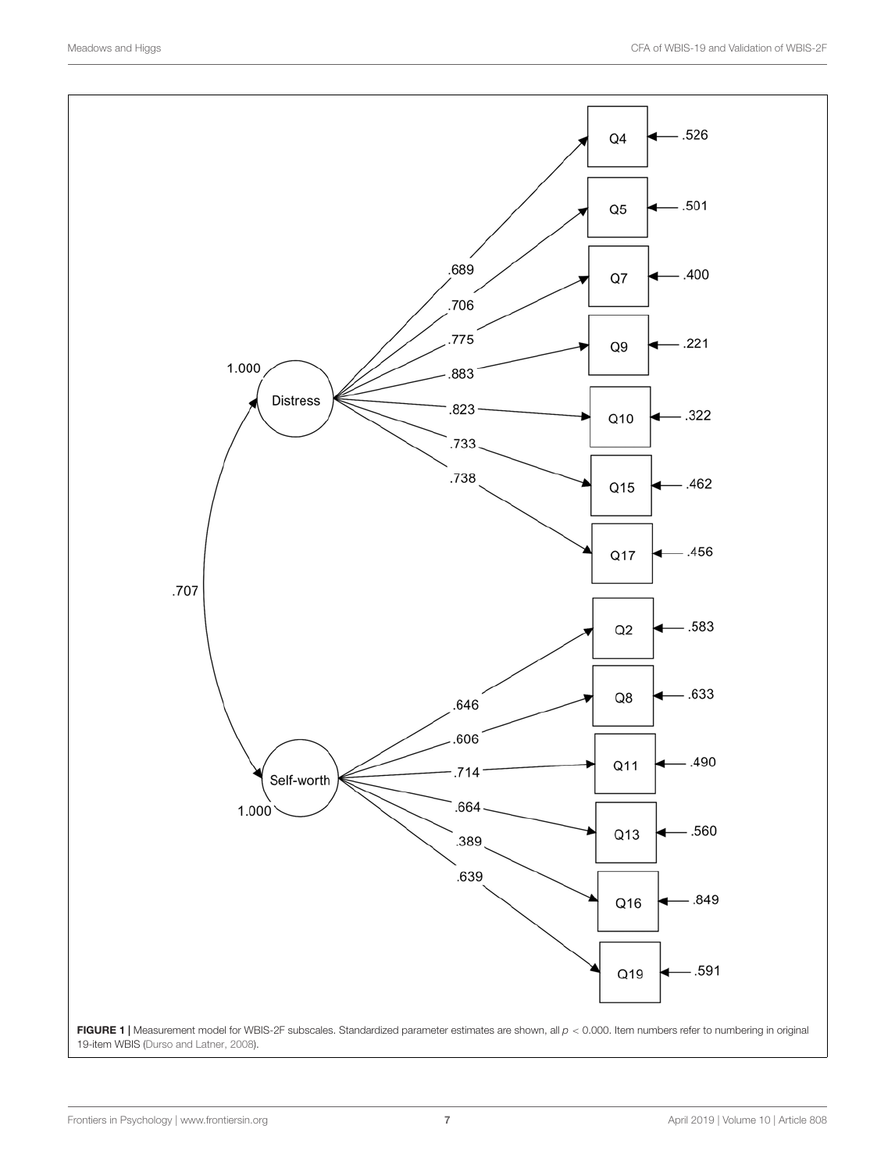<span id="page-7-0"></span>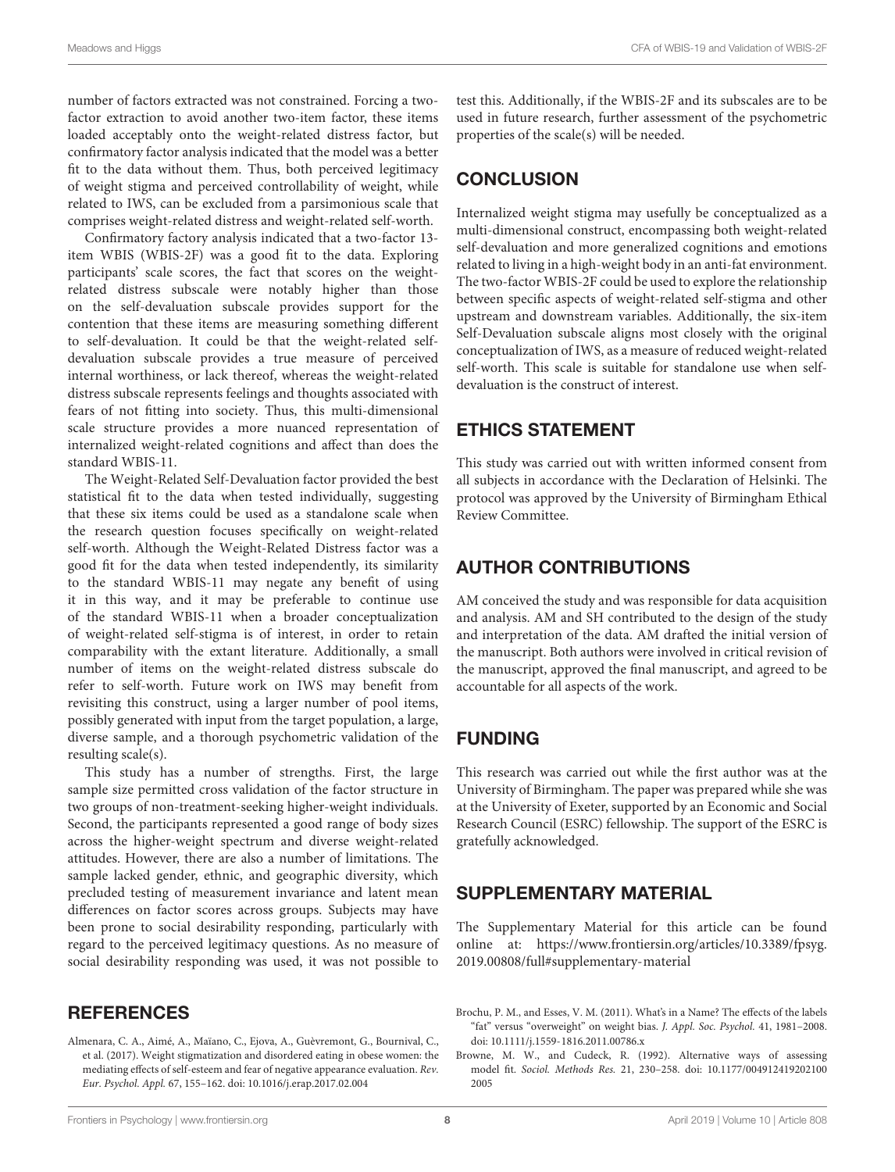number of factors extracted was not constrained. Forcing a twofactor extraction to avoid another two-item factor, these items loaded acceptably onto the weight-related distress factor, but confirmatory factor analysis indicated that the model was a better fit to the data without them. Thus, both perceived legitimacy of weight stigma and perceived controllability of weight, while related to IWS, can be excluded from a parsimonious scale that comprises weight-related distress and weight-related self-worth.

Confirmatory factory analysis indicated that a two-factor 13 item WBIS (WBIS-2F) was a good fit to the data. Exploring participants' scale scores, the fact that scores on the weightrelated distress subscale were notably higher than those on the self-devaluation subscale provides support for the contention that these items are measuring something different to self-devaluation. It could be that the weight-related selfdevaluation subscale provides a true measure of perceived internal worthiness, or lack thereof, whereas the weight-related distress subscale represents feelings and thoughts associated with fears of not fitting into society. Thus, this multi-dimensional scale structure provides a more nuanced representation of internalized weight-related cognitions and affect than does the standard WBIS-11.

The Weight-Related Self-Devaluation factor provided the best statistical fit to the data when tested individually, suggesting that these six items could be used as a standalone scale when the research question focuses specifically on weight-related self-worth. Although the Weight-Related Distress factor was a good fit for the data when tested independently, its similarity to the standard WBIS-11 may negate any benefit of using it in this way, and it may be preferable to continue use of the standard WBIS-11 when a broader conceptualization of weight-related self-stigma is of interest, in order to retain comparability with the extant literature. Additionally, a small number of items on the weight-related distress subscale do refer to self-worth. Future work on IWS may benefit from revisiting this construct, using a larger number of pool items, possibly generated with input from the target population, a large, diverse sample, and a thorough psychometric validation of the resulting scale(s).

This study has a number of strengths. First, the large sample size permitted cross validation of the factor structure in two groups of non-treatment-seeking higher-weight individuals. Second, the participants represented a good range of body sizes across the higher-weight spectrum and diverse weight-related attitudes. However, there are also a number of limitations. The sample lacked gender, ethnic, and geographic diversity, which precluded testing of measurement invariance and latent mean differences on factor scores across groups. Subjects may have been prone to social desirability responding, particularly with regard to the perceived legitimacy questions. As no measure of social desirability responding was used, it was not possible to

# **REFERENCES**

<span id="page-8-0"></span>Almenara, C. A., Aimé, A., Maïano, C., Ejova, A., Guèvremont, G., Bournival, C., et al. (2017). Weight stigmatization and disordered eating in obese women: the mediating effects of self-esteem and fear of negative appearance evaluation. Rev. Eur. Psychol. Appl. 67, 155–162. [doi: 10.1016/j.erap.2017.02.004](https://doi.org/10.1016/j.erap.2017.02.004)

test this. Additionally, if the WBIS-2F and its subscales are to be used in future research, further assessment of the psychometric properties of the scale(s) will be needed.

# **CONCLUSION**

Internalized weight stigma may usefully be conceptualized as a multi-dimensional construct, encompassing both weight-related self-devaluation and more generalized cognitions and emotions related to living in a high-weight body in an anti-fat environment. The two-factor WBIS-2F could be used to explore the relationship between specific aspects of weight-related self-stigma and other upstream and downstream variables. Additionally, the six-item Self-Devaluation subscale aligns most closely with the original conceptualization of IWS, as a measure of reduced weight-related self-worth. This scale is suitable for standalone use when selfdevaluation is the construct of interest.

# ETHICS STATEMENT

This study was carried out with written informed consent from all subjects in accordance with the Declaration of Helsinki. The protocol was approved by the University of Birmingham Ethical Review Committee.

# AUTHOR CONTRIBUTIONS

AM conceived the study and was responsible for data acquisition and analysis. AM and SH contributed to the design of the study and interpretation of the data. AM drafted the initial version of the manuscript. Both authors were involved in critical revision of the manuscript, approved the final manuscript, and agreed to be accountable for all aspects of the work.

# FUNDING

This research was carried out while the first author was at the University of Birmingham. The paper was prepared while she was at the University of Exeter, supported by an Economic and Social Research Council (ESRC) fellowship. The support of the ESRC is gratefully acknowledged.

# <span id="page-8-3"></span>SUPPLEMENTARY MATERIAL

The Supplementary Material for this article can be found online at: [https://www.frontiersin.org/articles/10.3389/fpsyg.](https://www.frontiersin.org/articles/10.3389/fpsyg.2019.00808/full#supplementary-material) [2019.00808/full#supplementary-material](https://www.frontiersin.org/articles/10.3389/fpsyg.2019.00808/full#supplementary-material)

<span id="page-8-1"></span>Brochu, P. M., and Esses, V. M. (2011). What's in a Name? The effects of the labels "fat" versus "overweight" on weight bias. J. Appl. Soc. Psychol. 41, 1981–2008. [doi: 10.1111/j.1559-1816.2011.00786.x](https://doi.org/10.1111/j.1559-1816.2011.00786.x)

<span id="page-8-2"></span>Browne, M. W., and Cudeck, R. (1992). Alternative ways of assessing model fit. Sociol. Methods Res. 21, 230–258. [doi: 10.1177/004912419202100](https://doi.org/10.1177/0049124192021002005) [2005](https://doi.org/10.1177/0049124192021002005)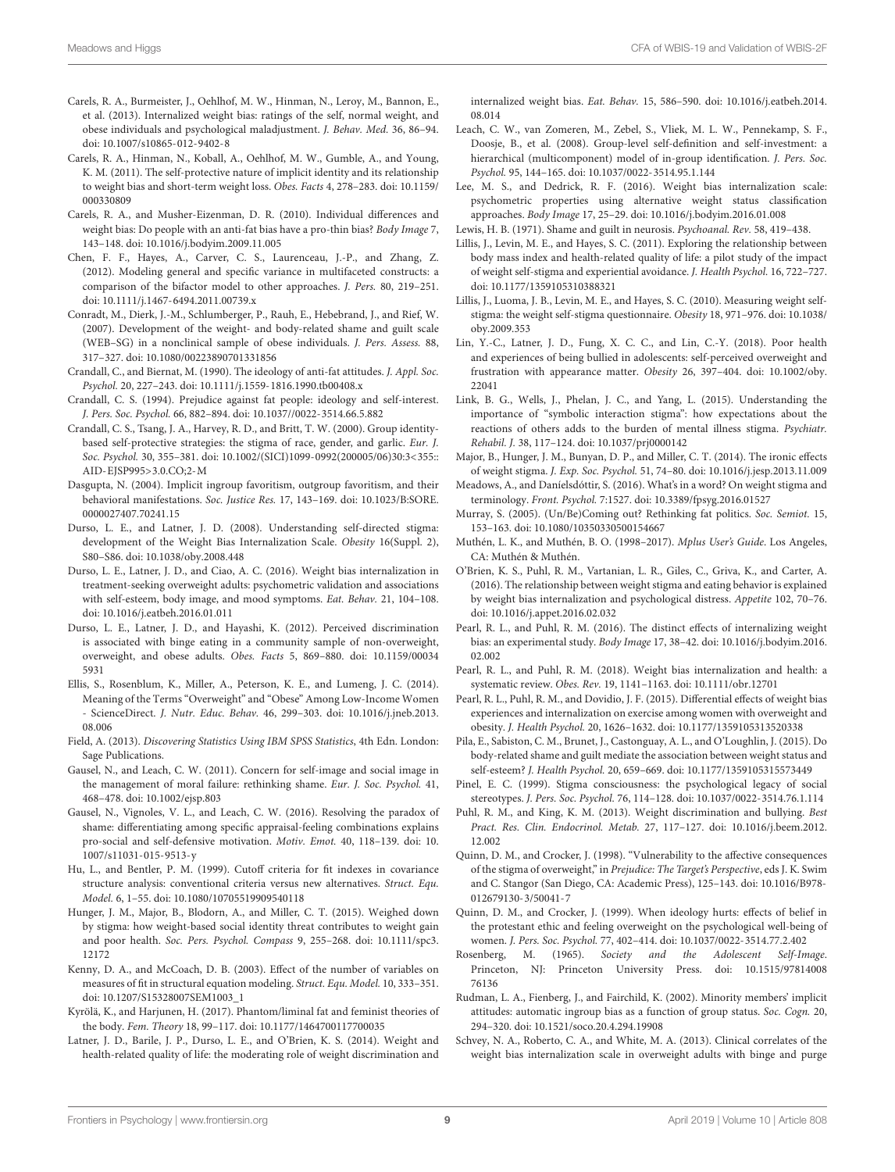- <span id="page-9-10"></span>Carels, R. A., Burmeister, J., Oehlhof, M. W., Hinman, N., Leroy, M., Bannon, E., et al. (2013). Internalized weight bias: ratings of the self, normal weight, and obese individuals and psychological maladjustment. J. Behav. Med. 36, 86–94. [doi: 10.1007/s10865-012-9402-8](https://doi.org/10.1007/s10865-012-9402-8)
- <span id="page-9-16"></span>Carels, R. A., Hinman, N., Koball, A., Oehlhof, M. W., Gumble, A., and Young, K. M. (2011). The self-protective nature of implicit identity and its relationship to weight bias and short-term weight loss. Obes. Facts 4, 278–283. [doi: 10.1159/](https://doi.org/10.1159/000330809) [000330809](https://doi.org/10.1159/000330809)
- <span id="page-9-9"></span>Carels, R. A., and Musher-Eizenman, D. R. (2010). Individual differences and weight bias: Do people with an anti-fat bias have a pro-thin bias? Body Image 7, 143–148. [doi: 10.1016/j.bodyim.2009.11.005](https://doi.org/10.1016/j.bodyim.2009.11.005)
- <span id="page-9-41"></span>Chen, F. F., Hayes, A., Carver, C. S., Laurenceau, J.-P., and Zhang, Z. (2012). Modeling general and specific variance in multifaceted constructs: a comparison of the bifactor model to other approaches. J. Pers. 80, 219–251. [doi: 10.1111/j.1467-6494.2011.00739.x](https://doi.org/10.1111/j.1467-6494.2011.00739.x)
- <span id="page-9-20"></span>Conradt, M., Dierk, J.-M., Schlumberger, P., Rauh, E., Hebebrand, J., and Rief, W. (2007). Development of the weight- and body-related shame and guilt scale (WEB–SG) in a nonclinical sample of obese individuals. J. Pers. Assess. 88, 317–327. [doi: 10.1080/00223890701331856](https://doi.org/10.1080/00223890701331856)
- <span id="page-9-13"></span>Crandall, C., and Biernat, M. (1990). The ideology of anti-fat attitudes. J. Appl. Soc. Psychol. 20, 227–243. [doi: 10.1111/j.1559-1816.1990.tb00408.x](https://doi.org/10.1111/j.1559-1816.1990.tb00408.x)
- <span id="page-9-14"></span>Crandall, C. S. (1994). Prejudice against fat people: ideology and self-interest. J. Pers. Soc. Psychol. 66, 882–894. [doi: 10.1037//0022-3514.66.5.882](https://doi.org/10.1037//0022-3514.66.5.882)
- <span id="page-9-11"></span>Crandall, C. S., Tsang, J. A., Harvey, R. D., and Britt, T. W. (2000). Group identitybased self-protective strategies: the stigma of race, gender, and garlic. Eur. J. Soc. Psychol. 30, 355–381. [doi: 10.1002/\(SICI\)1099-0992\(200005/06\)30:3<355::](https://doi.org/10.1002/(SICI)1099-0992(200005/06)30:3<355::AID-EJSP995>3.0.CO;2-M) [AID-EJSP995>3.0.CO;2-M](https://doi.org/10.1002/(SICI)1099-0992(200005/06)30:3<355::AID-EJSP995>3.0.CO;2-M)
- <span id="page-9-12"></span>Dasgupta, N. (2004). Implicit ingroup favoritism, outgroup favoritism, and their behavioral manifestations. Soc. Justice Res. 17, 143–169. [doi: 10.1023/B:SORE.](https://doi.org/10.1023/B:SORE.0000027407.70241.15) [0000027407.70241.15](https://doi.org/10.1023/B:SORE.0000027407.70241.15)
- <span id="page-9-8"></span>Durso, L. E., and Latner, J. D. (2008). Understanding self-directed stigma: development of the Weight Bias Internalization Scale. Obesity 16(Suppl. 2), S80–S86. [doi: 10.1038/oby.2008.448](https://doi.org/10.1038/oby.2008.448)
- <span id="page-9-43"></span>Durso, L. E., Latner, J. D., and Ciao, A. C. (2016). Weight bias internalization in treatment-seeking overweight adults: psychometric validation and associations with self-esteem, body image, and mood symptoms. Eat. Behav. 21, 104–108. [doi: 10.1016/j.eatbeh.2016.01.011](https://doi.org/10.1016/j.eatbeh.2016.01.011)
- <span id="page-9-3"></span>Durso, L. E., Latner, J. D., and Hayashi, K. (2012). Perceived discrimination is associated with binge eating in a community sample of non-overweight, overweight, and obese adults. Obes. Facts 5, 869–880. [doi: 10.1159/00034](https://doi.org/10.1159/000345931) [5931](https://doi.org/10.1159/000345931)
- <span id="page-9-29"></span>Ellis, S., Rosenblum, K., Miller, A., Peterson, K. E., and Lumeng, J. C. (2014). Meaning of the Terms "Overweight" and "Obese" Among Low-Income Women - ScienceDirect. J. Nutr. Educ. Behav. 46, 299–303. [doi: 10.1016/j.jneb.2013.](https://doi.org/10.1016/j.jneb.2013.08.006) [08.006](https://doi.org/10.1016/j.jneb.2013.08.006)
- <span id="page-9-34"></span>Field, A. (2013). Discovering Statistics Using IBM SPSS Statistics, 4th Edn. London: Sage Publications.
- <span id="page-9-22"></span>Gausel, N., and Leach, C. W. (2011). Concern for self-image and social image in the management of moral failure: rethinking shame. Eur. J. Soc. Psychol. 41, 468–478. [doi: 10.1002/ejsp.803](https://doi.org/10.1002/ejsp.803)
- <span id="page-9-23"></span>Gausel, N., Vignoles, V. L., and Leach, C. W. (2016). Resolving the paradox of shame: differentiating among specific appraisal-feeling combinations explains pro-social and self-defensive motivation. Motiv. Emot. 40, 118–139. [doi: 10.](https://doi.org/10.1007/s11031-015-9513-y) [1007/s11031-015-9513-y](https://doi.org/10.1007/s11031-015-9513-y)
- <span id="page-9-35"></span>Hu, L., and Bentler, P. M. (1999). Cutoff criteria for fit indexes in covariance structure analysis: conventional criteria versus new alternatives. Struct. Equ. Model. 6, 1–55. [doi: 10.1080/10705519909540118](https://doi.org/10.1080/10705519909540118)
- <span id="page-9-1"></span>Hunger, J. M., Major, B., Blodorn, A., and Miller, C. T. (2015). Weighed down by stigma: how weight-based social identity threat contributes to weight gain and poor health. Soc. Pers. Psychol. Compass 9, 255–268. [doi: 10.1111/spc3.](https://doi.org/10.1111/spc3.12172) [12172](https://doi.org/10.1111/spc3.12172)
- <span id="page-9-36"></span>Kenny, D. A., and McCoach, D. B. (2003). Effect of the number of variables on measures of fit in structural equation modeling. Struct. Equ. Model. 10, 333–351. [doi: 10.1207/S15328007SEM1003\\_1](https://doi.org/10.1207/S15328007SEM1003_1)
- <span id="page-9-19"></span>Kyrölä, K., and Harjunen, H. (2017). Phantom/liminal fat and feminist theories of the body. Fem. Theory 18, 99–117. [doi: 10.1177/1464700117700035](https://doi.org/10.1177/1464700117700035)
- <span id="page-9-7"></span>Latner, J. D., Barile, J. P., Durso, L. E., and O'Brien, K. S. (2014). Weight and health-related quality of life: the moderating role of weight discrimination and

internalized weight bias. Eat. Behav. 15, 586–590. [doi: 10.1016/j.eatbeh.2014.](https://doi.org/10.1016/j.eatbeh.2014.08.014) [08.014](https://doi.org/10.1016/j.eatbeh.2014.08.014)

- <span id="page-9-39"></span>Leach, C. W., van Zomeren, M., Zebel, S., Vliek, M. L. W., Pennekamp, S. F., Doosje, B., et al. (2008). Group-level self-definition and self-investment: a hierarchical (multicomponent) model of in-group identification. J. Pers. Soc. Psychol. 95, 144–165. [doi: 10.1037/0022-3514.95.1.144](https://doi.org/10.1037/0022-3514.95.1.144)
- <span id="page-9-31"></span>Lee, M. S., and Dedrick, R. F. (2016). Weight bias internalization scale: psychometric properties using alternative weight status classification approaches. Body Image 17, 25–29. [doi: 10.1016/j.bodyim.2016.01.008](https://doi.org/10.1016/j.bodyim.2016.01.008)
- <span id="page-9-21"></span>Lewis, H. B. (1971). Shame and guilt in neurosis. Psychoanal. Rev. 58, 419–438.
- <span id="page-9-6"></span>Lillis, J., Levin, M. E., and Hayes, S. C. (2011). Exploring the relationship between body mass index and health-related quality of life: a pilot study of the impact of weight self-stigma and experiential avoidance. J. Health Psychol. 16, 722–727. [doi: 10.1177/1359105310388321](https://doi.org/10.1177/1359105310388321)
- <span id="page-9-25"></span>Lillis, J., Luoma, J. B., Levin, M. E., and Hayes, S. C. (2010). Measuring weight selfstigma: the weight self-stigma questionnaire. Obesity 18, 971–976. [doi: 10.1038/](https://doi.org/10.1038/oby.2009.353) [oby.2009.353](https://doi.org/10.1038/oby.2009.353)
- <span id="page-9-32"></span>Lin, Y.-C., Latner, J. D., Fung, X. C. C., and Lin, C.-Y. (2018). Poor health and experiences of being bullied in adolescents: self-perceived overweight and frustration with appearance matter. Obesity 26, 397–404. [doi: 10.1002/oby.](https://doi.org/10.1002/oby.22041) [22041](https://doi.org/10.1002/oby.22041)
- <span id="page-9-26"></span>Link, B. G., Wells, J., Phelan, J. C., and Yang, L. (2015). Understanding the importance of "symbolic interaction stigma": how expectations about the reactions of others adds to the burden of mental illness stigma. Psychiatr. Rehabil. J. 38, 117–124. [doi: 10.1037/prj0000142](https://doi.org/10.1037/prj0000142)
- <span id="page-9-30"></span>Major, B., Hunger, J. M., Bunyan, D. P., and Miller, C. T. (2014). The ironic effects of weight stigma. J. Exp. Soc. Psychol. 51, 74–80. [doi: 10.1016/j.jesp.2013.11.009](https://doi.org/10.1016/j.jesp.2013.11.009)
- <span id="page-9-28"></span>Meadows, A., and Daníelsdóttir, S. (2016). What's in a word? On weight stigma and terminology. Front. Psychol. 7:1527. [doi: 10.3389/fpsyg.2016.01527](https://doi.org/10.3389/fpsyg.2016.01527)
- <span id="page-9-18"></span>Murray, S. (2005). (Un/Be)Coming out? Rethinking fat politics. Soc. Semiot. 15, 153–163. [doi: 10.1080/10350330500154667](https://doi.org/10.1080/10350330500154667)
- <span id="page-9-42"></span>Muthén, L. K., and Muthén, B. O. (1998–2017). Mplus User's Guide. Los Angeles, CA: Muthén & Muthén.
- <span id="page-9-4"></span>O'Brien, K. S., Puhl, R. M., Vartanian, L. R., Giles, C., Griva, K., and Carter, A. (2016). The relationship between weight stigma and eating behavior is explained by weight bias internalization and psychological distress. Appetite 102, 70–76. [doi: 10.1016/j.appet.2016.02.032](https://doi.org/10.1016/j.appet.2016.02.032)
- <span id="page-9-33"></span>Pearl, R. L., and Puhl, R. M. (2016). The distinct effects of internalizing weight bias: an experimental study. Body Image 17, 38–42. [doi: 10.1016/j.bodyim.2016.](https://doi.org/10.1016/j.bodyim.2016.02.002) [02.002](https://doi.org/10.1016/j.bodyim.2016.02.002)
- <span id="page-9-2"></span>Pearl, R. L., and Puhl, R. M. (2018). Weight bias internalization and health: a systematic review. Obes. Rev. 19, 1141–1163. [doi: 10.1111/obr.12701](https://doi.org/10.1111/obr.12701)
- <span id="page-9-5"></span>Pearl, R. L., Puhl, R. M., and Dovidio, J. F. (2015). Differential effects of weight bias experiences and internalization on exercise among women with overweight and obesity. J. Health Psychol. 20, 1626–1632. [doi: 10.1177/1359105313520338](https://doi.org/10.1177/1359105313520338)
- <span id="page-9-24"></span>Pila, E., Sabiston, C. M., Brunet, J., Castonguay, A. L., and O'Loughlin, J. (2015). Do body-related shame and guilt mediate the association between weight status and self-esteem? J. Health Psychol. 20, 659–669. [doi: 10.1177/1359105315573449](https://doi.org/10.1177/1359105315573449)
- <span id="page-9-38"></span>Pinel, E. C. (1999). Stigma consciousness: the psychological legacy of social stereotypes. J. Pers. Soc. Psychol. 76, 114–128. [doi: 10.1037/0022-3514.76.1.114](https://doi.org/10.1037/0022-3514.76.1.114)
- <span id="page-9-0"></span>Puhl, R. M., and King, K. M. (2013). Weight discrimination and bullying. Best Pract. Res. Clin. Endocrinol. Metab. 27, 117–127. [doi: 10.1016/j.beem.2012.](https://doi.org/10.1016/j.beem.2012.12.002) [12.002](https://doi.org/10.1016/j.beem.2012.12.002)
- <span id="page-9-17"></span>Quinn, D. M., and Crocker, J. (1998). "Vulnerability to the affective consequences of the stigma of overweight," in Prejudice: The Target's Perspective, eds J. K. Swim and C. Stangor (San Diego, CA: Academic Press), 125–143. [doi: 10.1016/B978-](https://doi.org/10.1016/B978-012679130-3/50041-7) [012679130-3/50041-7](https://doi.org/10.1016/B978-012679130-3/50041-7)
- <span id="page-9-40"></span>Quinn, D. M., and Crocker, J. (1999). When ideology hurts: effects of belief in the protestant ethic and feeling overweight on the psychological well-being of women. J. Pers. Soc. Psychol. 77, 402–414. [doi: 10.1037/0022-3514.77.2.402](https://doi.org/10.1037/0022-3514.77.2.402)
- <span id="page-9-37"></span>Rosenberg, M. (1965). Society and the Adolescent Self-Image. Princeton, NJ: Princeton University Press. [doi: 10.1515/97814008](https://doi.org/10.1515/9781400876136) [76136](https://doi.org/10.1515/9781400876136)
- <span id="page-9-15"></span>Rudman, L. A., Fienberg, J., and Fairchild, K. (2002). Minority members' implicit attitudes: automatic ingroup bias as a function of group status. Soc. Cogn. 20, 294–320. [doi: 10.1521/soco.20.4.294.19908](https://doi.org/10.1521/soco.20.4.294.19908)
- <span id="page-9-27"></span>Schvey, N. A., Roberto, C. A., and White, M. A. (2013). Clinical correlates of the weight bias internalization scale in overweight adults with binge and purge